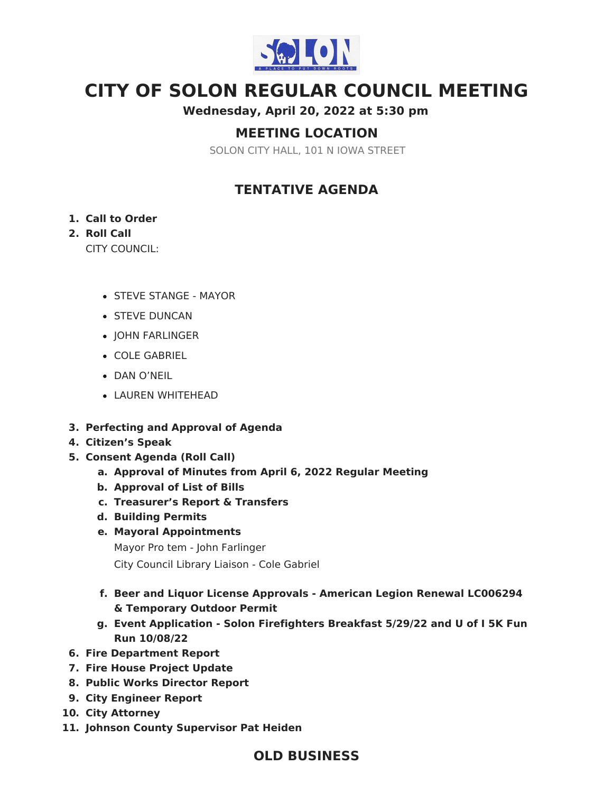

# **CITY OF SOLON REGULAR COUNCIL MEETING**

**Wednesday, April 20, 2022 at 5:30 pm**

# **MEETING LOCATION**

SOLON CITY HALL, 101 N IOWA STREET

# **TENTATIVE AGENDA**

#### **1. Call to Order**

#### **2. Roll Call**

CITY COUNCIL:

- STEVE STANGE MAYOR
- **STEVE DUNCAN**
- JOHN FARLINGER
- COLE GABRIEL
- DAN O'NEIL
- LAUREN WHITEHEAD
- **3. Perfecting and Approval of Agenda**
- **4. Citizen's Speak**
- **5. Consent Agenda (Roll Call)**
	- **a. Approval of Minutes from April 6, 2022 Regular Meeting**
	- **b. Approval of List of Bills**
	- **c. Treasurer's Report & Transfers**
	- **d. Building Permits**
	- **e. Mayoral Appointments**
		- Mayor Pro tem John Farlinger City Council Library Liaison - Cole Gabriel
	- **f. Beer and Liquor License Approvals - American Legion Renewal LC006294 & Temporary Outdoor Permit**
	- **g. Event Application - Solon Firefighters Breakfast 5/29/22 and U of I 5K Fun Run 10/08/22**
- **6. Fire Department Report**
- **7. Fire House Project Update**
- **8. Public Works Director Report**
- **9. City Engineer Report**
- **10. City Attorney**
- **11. Johnson County Supervisor Pat Heiden**

### **OLD BUSINESS**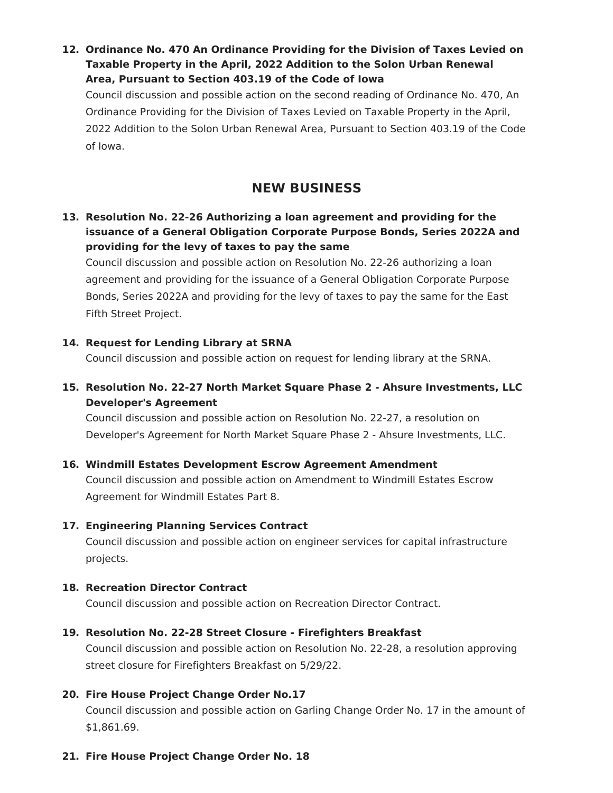**12. Ordinance No. 470 An Ordinance Providing for the Division of Taxes Levied on Taxable Property in the April, 2022 Addition to the Solon Urban Renewal Area, Pursuant to Section 403.19 of the Code of Iowa**

Council discussion and possible action on the second reading of Ordinance No. 470, An Ordinance Providing for the Division of Taxes Levied on Taxable Property in the April, 2022 Addition to the Solon Urban Renewal Area, Pursuant to Section 403.19 of the Code of Iowa.

### **NEW BUSINESS**

**13. Resolution No. 22-26 Authorizing a loan agreement and providing for the issuance of a General Obligation Corporate Purpose Bonds, Series 2022A and providing for the levy of taxes to pay the same**

Council discussion and possible action on Resolution No. 22-26 authorizing a loan agreement and providing for the issuance of a General Obligation Corporate Purpose Bonds, Series 2022A and providing for the levy of taxes to pay the same for the East Fifth Street Project.

#### **14. Request for Lending Library at SRNA**

Council discussion and possible action on request for lending library at the SRNA.

**15. Resolution No. 22-27 North Market Square Phase 2 - Ahsure Investments, LLC Developer's Agreement**

Council discussion and possible action on Resolution No. 22-27, a resolution on Developer's Agreement for North Market Square Phase 2 - Ahsure Investments, LLC.

**16. Windmill Estates Development Escrow Agreement Amendment** Council discussion and possible action on Amendment to Windmill Estates Escrow Agreement for Windmill Estates Part 8.

#### **17. Engineering Planning Services Contract**

Council discussion and possible action on engineer services for capital infrastructure projects.

#### **18. Recreation Director Contract**

Council discussion and possible action on Recreation Director Contract.

#### **19. Resolution No. 22-28 Street Closure - Firefighters Breakfast**

Council discussion and possible action on Resolution No. 22-28, a resolution approving street closure for Firefighters Breakfast on 5/29/22.

#### **20. Fire House Project Change Order No.17**

Council discussion and possible action on Garling Change Order No. 17 in the amount of \$1,861.69.

#### **21. Fire House Project Change Order No. 18**